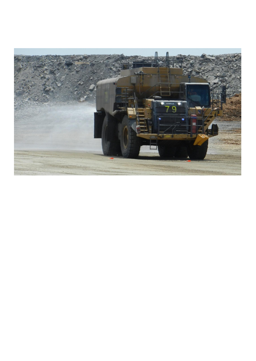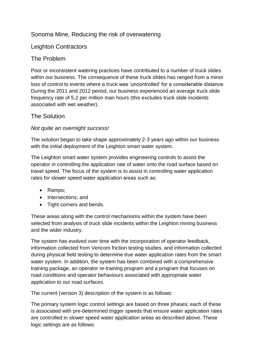# Sonoma Mine, Reducing the risk of overwatering

# Leighton Contractors

# The Problem

Poor or inconsistent watering practices have contributed to a number of truck slides within our business. The consequence of these truck slides has ranged from a minor loss of control to events where a truck was 'uncontrolled' for a considerable distance. During the 2011 and 2012 period, our business experienced an average truck slide frequency rate of 5.2 per million man hours (this excludes truck slide incidents associated with wet weather).

## The Solution

#### *Not quite an overnight success!*

The solution began to take shape approximately 2-3 years ago within our business with the initial deployment of the Leighton smart water system.

The Leighton smart water system provides engineering controls to assist the operator in controlling the application rate of water onto the road surface based on travel speed. The focus of the system is to assist in controlling water application rates for slower speed water application areas such as:

- Ramps;
- Intersections; and
- Tight corners and bends.

These areas along with the control mechanisms within the system have been selected from analysis of truck slide incidents within the Leighton mining business and the wider industry.

The system has evolved over time with the incorporation of operator feedback, information collected from Vericom friction testing studies, and information collected during physical field testing to determine true water application rates from the smart water system. In addition, the system has been combined with a comprehensive training package, an operator re-training program and a program that focuses on road conditions and operator behaviours associated with appropriate water application to our road surfaces.

The current (version 3) description of the system is as follows:

The primary system logic control settings are based on three phases; each of these is associated with pre-determined trigger speeds that ensure water application rates are controlled in slower speed water application areas as described above. These logic settings are as follows: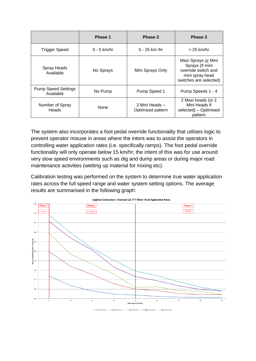|                                         | Phase 1       | Phase 2                             | Phase 3                                                                                                    |
|-----------------------------------------|---------------|-------------------------------------|------------------------------------------------------------------------------------------------------------|
| <b>Trigger Speed</b>                    | $0 - 5$ km/hr | 5 - 25 km /hr                       | $>$ 25 km/hr                                                                                               |
| Spray Heads<br>Available                | No Sprays     | Mini Sprays Only                    | Maxi Sprays or Mini<br>Sprays (if mini<br>override switch and<br>mini spray head<br>switches are selected) |
| <b>Pump Speed Settings</b><br>Available | No Pump       | Pump Speed 1                        | Pump Speeds 1 - 4                                                                                          |
| Number of Spray<br>Heads                | None          | 2 Mini Heads -<br>Optimised pattern | 2 Maxi heads (or 2<br>Mini Heads if<br>selected) - Optimised<br>pattern                                    |

The system also incorporates a foot pedal override functionality that utilises logic to prevent operator misuse in areas where the intent was to assist the operators in controlling water application rates (i.e. specifically ramps). The foot pedal override functionality will only operate below 15 km/hr; the intent of this was for use around very slow speed environments such as dig and dump areas or during major road maintenance activities (wetting up material for mixing etc).

Calibration testing was performed on the system to determine true water application rates across the full speed range and water system setting options. The average results are summarised in the following graph:



#### Leighton Contractors - Example Cat 777 Water Truck Application Rates

-Minis Pump 1 - Maxis Pump 1 - Maxis Pump 2 - Maxis Pump 3 - Maxis Pump 4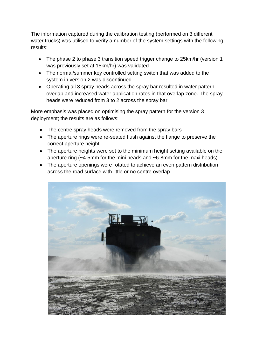The information captured during the calibration testing (performed on 3 different water trucks) was utilised to verify a number of the system settings with the following results:

- The phase 2 to phase 3 transition speed trigger change to 25km/hr (version 1 was previously set at 15km/hr) was validated
- The normal/summer key controlled setting switch that was added to the system in version 2 was discontinued
- Operating all 3 spray heads across the spray bar resulted in water pattern overlap and increased water application rates in that overlap zone. The spray heads were reduced from 3 to 2 across the spray bar

More emphasis was placed on optimising the spray pattern for the version 3 deployment; the results are as follows:

- The centre spray heads were removed from the spray bars
- The aperture rings were re-seated flush against the flange to preserve the correct aperture height
- The aperture heights were set to the minimum height setting available on the aperture ring (~4-5mm for the mini heads and ~6-8mm for the maxi heads)
- The aperture openings were rotated to achieve an even pattern distribution across the road surface with little or no centre overlap

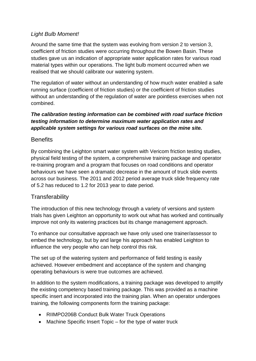## *Light Bulb Moment!*

Around the same time that the system was evolving from version 2 to version 3, coefficient of friction studies were occurring throughout the Bowen Basin. These studies gave us an indication of appropriate water application rates for various road material types within our operations. The light bulb moment occurred when we realised that we should calibrate our watering system.

The regulation of water without an understanding of how much water enabled a safe running surface (coefficient of friction studies) or the coefficient of friction studies without an understanding of the regulation of water are pointless exercises when not combined.

## *The calibration testing information can be combined with road surface friction testing information to determine maximum water application rates and applicable system settings for various road surfaces on the mine site.*

# **Benefits**

By combining the Leighton smart water system with Vericom friction testing studies, physical field testing of the system, a comprehensive training package and operator re-training program and a program that focuses on road conditions and operator behaviours we have seen a dramatic decrease in the amount of truck slide events across our business. The 2011 and 2012 period average truck slide frequency rate of 5.2 has reduced to 1.2 for 2013 year to date period.

# **Transferability**

The introduction of this new technology through a variety of versions and system trials has given Leighton an opportunity to work out what has worked and continually improve not only its watering practices but its change management approach.

To enhance our consultative approach we have only used one trainer/assessor to embed the technology, but by and large his approach has enabled Leighton to influence the very people who can help control this risk.

The set up of the watering system and performance of field testing is easily achieved. However embedment and acceptance of the system and changing operating behaviours is were true outcomes are achieved.

In addition to the system modifications, a training package was developed to amplify the existing competency based training package. This was provided as a machine specific insert and incorporated into the training plan. When an operator undergoes training, the following components form the training package:

- RIIMPO206B Conduct Bulk Water Truck Operations
- Machine Specific Insert Topic for the type of water truck